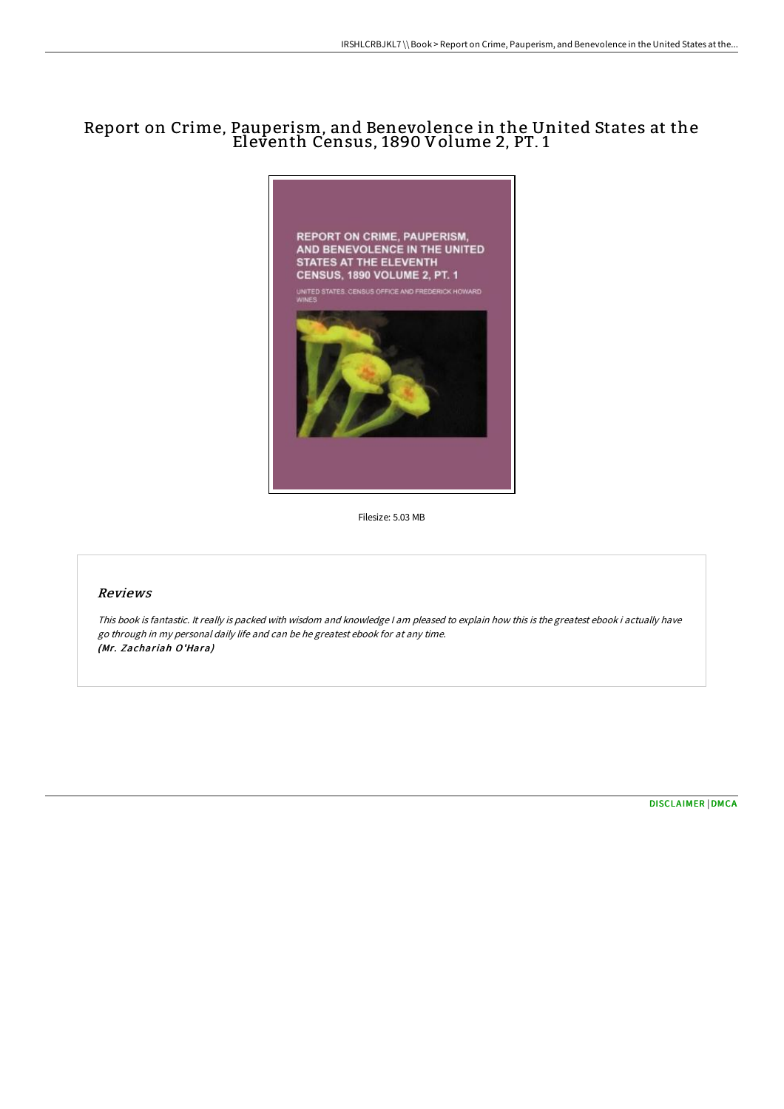# Report on Crime, Pauperism, and Benevolence in the United States at the Eleventh Census, 1890 Volume 2, PT. 1



Filesize: 5.03 MB

### Reviews

This book is fantastic. It really is packed with wisdom and knowledge <sup>I</sup> am pleased to explain how this is the greatest ebook i actually have go through in my personal daily life and can be he greatest ebook for at any time. (Mr. Zachariah O'Hara)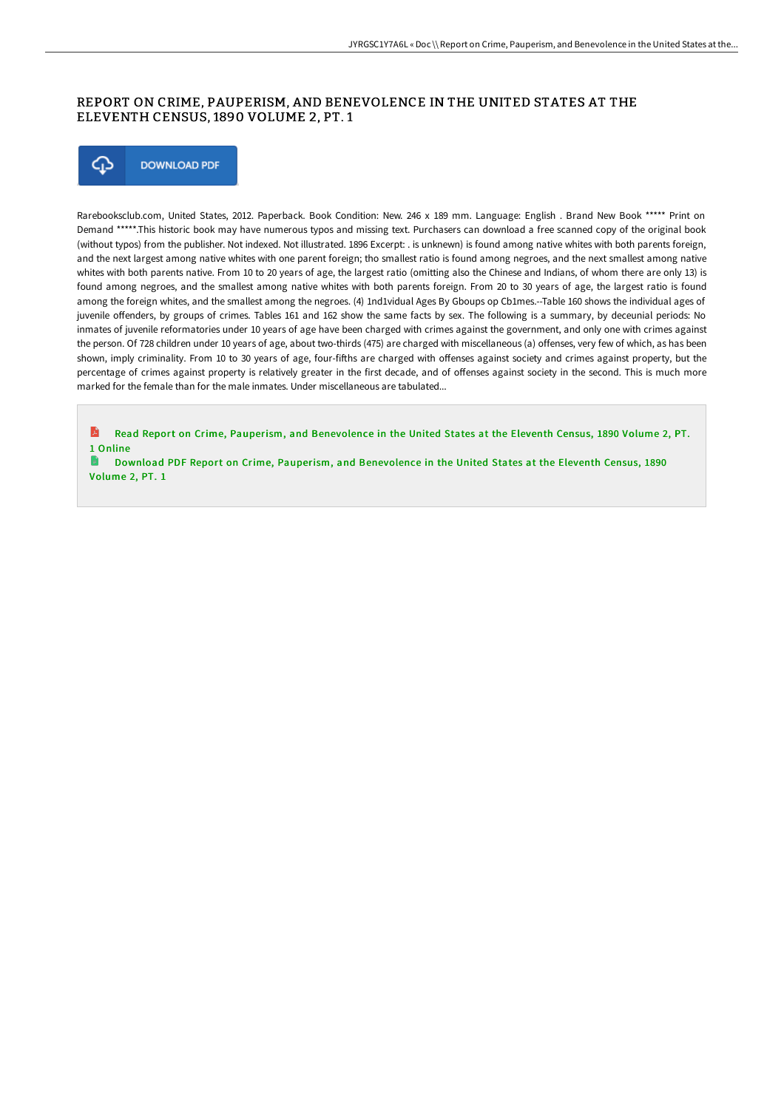### REPORT ON CRIME, PAUPERISM, AND BENEVOLENCE IN THE UNITED STATES AT THE ELEVENTH CENSUS, 1890 VOLUME 2, PT. 1



Rarebooksclub.com, United States, 2012. Paperback. Book Condition: New. 246 x 189 mm. Language: English . Brand New Book \*\*\*\*\* Print on Demand \*\*\*\*\*.This historic book may have numerous typos and missing text. Purchasers can download a free scanned copy of the original book (without typos) from the publisher. Not indexed. Not illustrated. 1896 Excerpt: . is unknewn) is found among native whites with both parents foreign, and the next largest among native whites with one parent foreign; tho smallest ratio is found among negroes, and the next smallest among native whites with both parents native. From 10 to 20 years of age, the largest ratio (omitting also the Chinese and Indians, of whom there are only 13) is found among negroes, and the smallest among native whites with both parents foreign. From 20 to 30 years of age, the largest ratio is found among the foreign whites, and the smallest among the negroes. (4) 1nd1vidual Ages By Gboups op Cb1mes.--Table 160 shows the individual ages of juvenile offenders, by groups of crimes. Tables 161 and 162 show the same facts by sex. The following is a summary, by deceunial periods: No inmates of juvenile reformatories under 10 years of age have been charged with crimes against the government, and only one with crimes against the person. Of 728 children under 10 years of age, about two-thirds (475) are charged with miscellaneous (a) offenses, very few of which, as has been shown, imply criminality. From 10 to 30 years of age, four-fifths are charged with offenses against society and crimes against property, but the percentage of crimes against property is relatively greater in the first decade, and of offenses against society in the second. This is much more marked for the female than for the male inmates. Under miscellaneous are tabulated...

R Read Report on Crime, Pauperism, and [Benevolence](http://techno-pub.tech/report-on-crime-pauperism-and-benevolence-in-the-2.html) in the United States at the Eleventh Census, 1890 Volume 2, PT. 1 Online

Download PDF Report on Crime, Pauperism, and [Benevolence](http://techno-pub.tech/report-on-crime-pauperism-and-benevolence-in-the-2.html) in the United States at the Eleventh Census, 1890 Volume 2, PT. 1